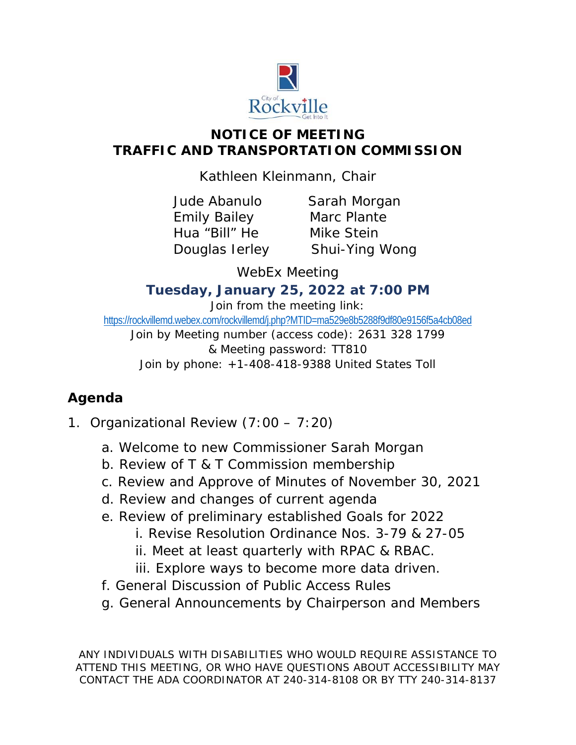

## **NOTICE OF MEETING TRAFFIC AND TRANSPORTATION COMMISSION**

Kathleen Kleinmann, Chair

Emily Bailey Marc Plante Hua "Bill" He Mike Stein

Jude Abanulo Sarah Morgan Douglas Ierley Shui-Ying Wong

WebEx Meeting

## *Tuesday, January 25, 2022 at 7:00 PM*

Join from the meeting link: https://rockvillemd.webex.com/rockvillemd/j.php?MTID=ma529e8b5288f9df80e9156f5a4cb08ed Join by Meeting number (access code): 2631 328 1799 & Meeting password: TT810 Join by phone: +1-408-418-9388 United States Toll

## **Agenda**

- 1. Organizational Review (7:00 7:20)
	- a. Welcome to new Commissioner Sarah Morgan
	- b. Review of T & T Commission membership
	- c. Review and Approve of Minutes of November 30, 2021
	- d. Review and changes of current agenda
	- e. Review of preliminary established Goals for 2022
		- i. Revise Resolution Ordinance Nos. 3-79 & 27-05
		- ii. Meet at least quarterly with RPAC & RBAC.
		- iii. Explore ways to become more data driven.
	- f. General Discussion of Public Access Rules
	- g. General Announcements by Chairperson and Members

ANY INDIVIDUALS WITH DISABILITIES WHO WOULD REQUIRE ASSISTANCE TO ATTEND THIS MEETING, OR WHO HAVE QUESTIONS ABOUT ACCESSIBILITY MAY CONTACT THE ADA COORDINATOR AT 240-314-8108 OR BY TTY 240-314-8137